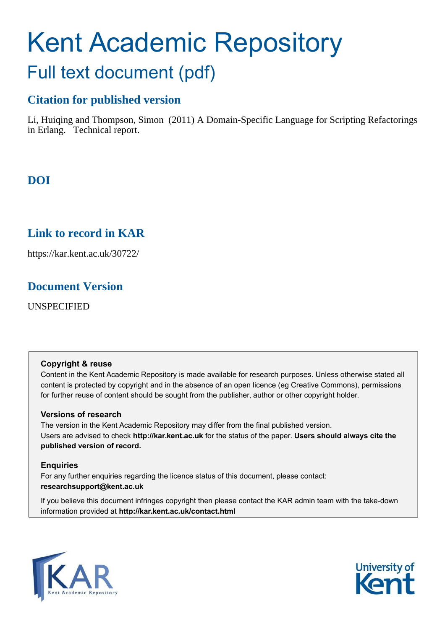# Kent Academic Repository Full text document (pdf)

## **Citation for published version**

Li, Huiqing and Thompson, Simon (2011) A Domain-Specific Language for Scripting Refactorings in Erlang. Technical report.

# **DOI**

# **Link to record in KAR**

https://kar.kent.ac.uk/30722/

## **Document Version**

UNSPECIFIED

### **Copyright & reuse**

Content in the Kent Academic Repository is made available for research purposes. Unless otherwise stated all content is protected by copyright and in the absence of an open licence (eg Creative Commons), permissions for further reuse of content should be sought from the publisher, author or other copyright holder.

## **Versions of research**

The version in the Kent Academic Repository may differ from the final published version. Users are advised to check **http://kar.kent.ac.uk** for the status of the paper. **Users should always cite the published version of record.**

## **Enquiries**

For any further enquiries regarding the licence status of this document, please contact: **researchsupport@kent.ac.uk**

If you believe this document infringes copyright then please contact the KAR admin team with the take-down information provided at **http://kar.kent.ac.uk/contact.html**



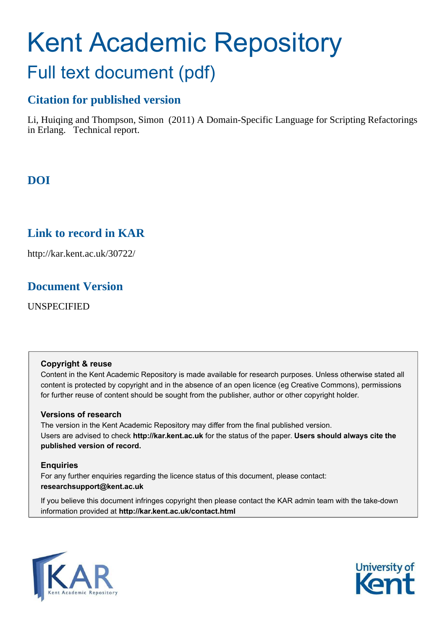# Kent Academic Repository Full text document (pdf)

# **Citation for published version**

Li, Huiqing and Thompson, Simon (2011) A Domain-Specific Language for Scripting Refactorings in Erlang. Technical report.

# **DOI**

# **Link to record in KAR**

http://kar.kent.ac.uk/30722/

## **Document Version**

UNSPECIFIED

### **Copyright & reuse**

Content in the Kent Academic Repository is made available for research purposes. Unless otherwise stated all content is protected by copyright and in the absence of an open licence (eg Creative Commons), permissions for further reuse of content should be sought from the publisher, author or other copyright holder.

## **Versions of research**

The version in the Kent Academic Repository may differ from the final published version. Users are advised to check **http://kar.kent.ac.uk** for the status of the paper. **Users should always cite the published version of record.**

## **Enquiries**

For any further enquiries regarding the licence status of this document, please contact: **researchsupport@kent.ac.uk**

If you believe this document infringes copyright then please contact the KAR admin team with the take-down information provided at **http://kar.kent.ac.uk/contact.html**



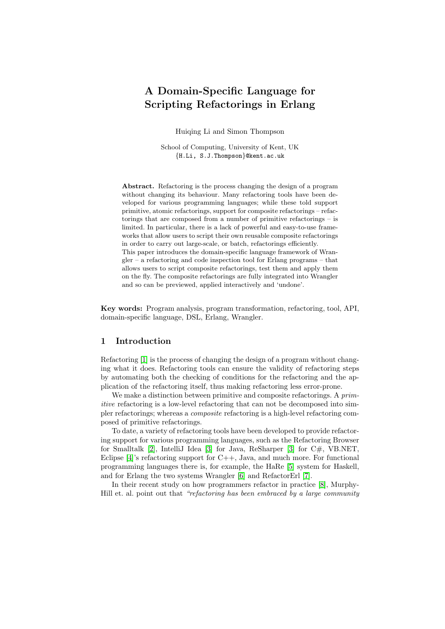## A Domain-Specific Language for Scripting Refactorings in Erlang

<span id="page-2-2"></span>Huiqing Li and Simon Thompson

School of Computing, University of Kent, UK {H.Li, S.J.Thompson}@kent.ac.uk

<span id="page-2-1"></span><span id="page-2-0"></span>Abstract. Refactoring is the process changing the design of a program without changing its behaviour. Many refactoring tools have been developed for various programming languages; while these told support primitive, atomic refactorings, support for composite refactorings – refactorings that are composed from a number of primitive refactorings – is limited. In particular, there is a lack of powerful and easy-to-use frameworks that allow users to script their own reusable composite refactorings in order to carry out large-scale, or batch, refactorings efficiently. This paper introduces the domain-specific language framework of Wrangler – a refactoring and code inspection tool for Erlang programs – that allows users to script composite refactorings, test them and apply them on the fly. The composite refactorings are fully integrated into Wrangler and so can be previewed, applied interactively and 'undone'.

Key words: Program analysis, program transformation, refactoring, tool, API, domain-specific language, DSL, Erlang, Wrangler.

#### 1 Introduction

Refactoring [\[1\]](#page-14-0) is the process of changing the design of a program without changing what it does. Refactoring tools can ensure the validity of refactoring steps by automating both the checking of conditions for the refactoring and the application of the refactoring itself, thus making refactoring less error-prone.

We make a distinction between primitive and composite refactorings. A primitive refactoring is a low-level refactoring that can not be decomposed into simpler refactorings; whereas a composite refactoring is a high-level refactoring composed of primitive refactorings.

To date, a variety of refactoring tools have been developed to provide refactoring support for various programming languages, such as the Refactoring Browser for Smalltalk [\[2\]](#page-14-1), IntelliJ Idea [\[3\]](#page-14-2) for Java, ReSharper [3] for  $C#$ , VB.NET, Eclipse  $[4]$ 's refactoring support for C++, Java, and much more. For functional programming languages there is, for example, the HaRe [\[5\]](#page-14-4) system for Haskell, and for Erlang the two systems Wrangler [\[6\]](#page-14-5) and RefactorErl [\[7\]](#page-14-6).

In their recent study on how programmers refactor in practice [\[8\]](#page-14-7), Murphy-Hill et. al. point out that "refactoring has been embraced by a large community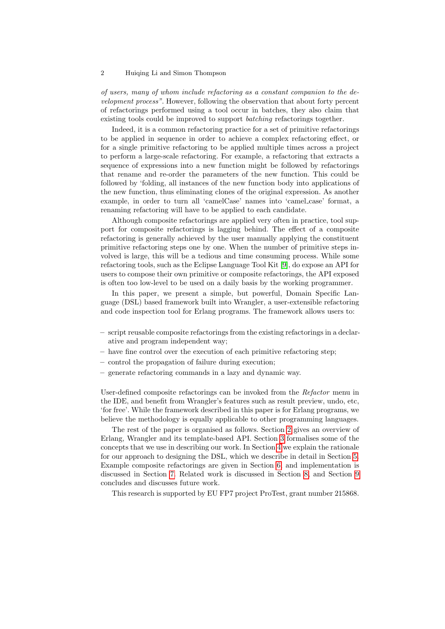#### 2 Huiqing Li and Simon Thompson

of users, many of whom include refactoring as a constant companion to the development process". However, following the observation that about forty percent of refactorings performed using a tool occur in batches, they also claim that existing tools could be improved to support batching refactorings together.

Indeed, it is a common refactoring practice for a set of primitive refactorings to be applied in sequence in order to achieve a complex refactoring effect, or for a single primitive refactoring to be applied multiple times across a project to perform a large-scale refactoring. For example, a refactoring that extracts a sequence of expressions into a new function might be followed by refactorings that rename and re-order the parameters of the new function. This could be followed by 'folding, all instances of the new function body into applications of the new function, thus eliminating clones of the original expression. As another example, in order to turn all 'camelCase' names into 'camel case' format, a renaming refactoring will have to be applied to each candidate.

Although composite refactorings are applied very often in practice, tool support for composite refactorings is lagging behind. The effect of a composite refactoring is generally achieved by the user manually applying the constituent primitive refactoring steps one by one. When the number of primitive steps involved is large, this will be a tedious and time consuming process. While some refactoring tools, such as the Eclipse Language Tool Kit [\[9\]](#page-14-8), do expose an API for users to compose their own primitive or composite refactorings, the API exposed is often too low-level to be used on a daily basis by the working programmer.

In this paper, we present a simple, but powerful, Domain Specific Language (DSL) based framework built into Wrangler, a user-extensible refactoring and code inspection tool for Erlang programs. The framework allows users to:

- script reusable composite refactorings from the existing refactorings in a declarative and program independent way;
- have fine control over the execution of each primitive refactoring step;
- control the propagation of failure during execution;
- generate refactoring commands in a lazy and dynamic way.

User-defined composite refactorings can be invoked from the Refactor menu in the IDE, and benefit from Wrangler's features such as result preview, undo, etc, 'for free'. While the framework described in this paper is for Erlang programs, we believe the methodology is equally applicable to other programming languages.

The rest of the paper is organised as follows. Section [2](#page-2-0) gives an overview of Erlang, Wrangler and its template-based API. Section [3](#page-4-0) formalises some of the concepts that we use in describing our work. In Section [4](#page-5-0) we explain the rationale for our approach to designing the DSL, which we describe in detail in Section [5.](#page-7-0) Example composite refactorings are given in Section [6,](#page-10-0) and implementation is discussed in Section [7.](#page-12-0) Related work is discussed in Section [8,](#page-13-0) and Section [9](#page-14-9) concludes and discusses future work.

This research is supported by EU FP7 project ProTest, grant number 215868.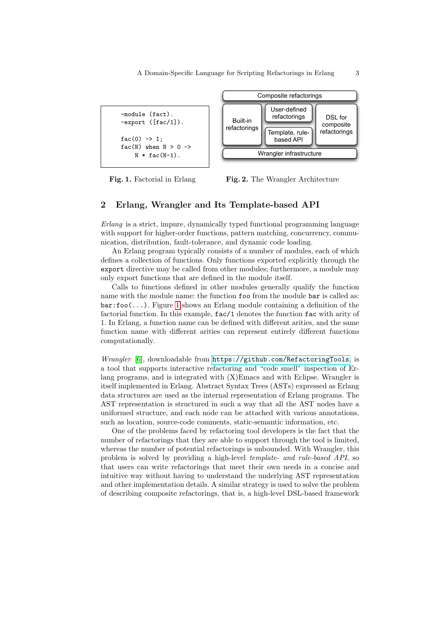<span id="page-4-1"></span>



Fig. 2. The Wrangler Architecture

#### 2 Erlang, Wrangler and Its Template-based API

<span id="page-4-0"></span>Erlang is a strict, impure, dynamically typed functional programming language with support for higher-order functions, pattern matching, concurrency, communication, distribution, fault-tolerance, and dynamic code loading.

An Erlang program typically consists of a number of modules, each of which defines a collection of functions. Only functions exported explicitly through the export directive may be called from other modules; furthermore, a module may only export functions that are defined in the module itself.

Calls to functions defined in other modules generally qualify the function name with the module name: the function foo from the module bar is called as: bar:foo(...). Figure [1](#page-2-1) shows an Erlang module containing a definition of the factorial function. In this example, fac/1 denotes the function fac with arity of 1. In Erlang, a function name can be defined with different arities, and the same function name with different arities can represent entirely different functions computationally.

Wrangler [\[6\]](#page-14-5), downloadable from <https://github.com/RefactoringTools>, is a tool that supports interactive refactoring and "code smell" inspection of Erlang programs, and is integrated with (X)Emacs and with Eclipse. Wrangler is itself implemented in Erlang. Abstract Syntax Trees (ASTs) expressed as Erlang data structures are used as the internal representation of Erlang programs. The AST representation is structured in such a way that all the AST nodes have a uniformed structure, and each node can be attached with various annotations, such as location, source-code comments, static-semantic information, etc.

One of the problems faced by refactoring tool developers is the fact that the number of refactorings that they are able to support through the tool is limited, whereas the number of potential refactorings is unbounded. With Wrangler, this problem is solved by providing a high-level template- and rule-based API, so that users can write refactorings that meet their own needs in a concise and intuitive way without having to understand the underlying AST representation and other implementation details. A similar strategy is used to solve the problem of describing composite refactorings, that is, a high-level DSL-based framework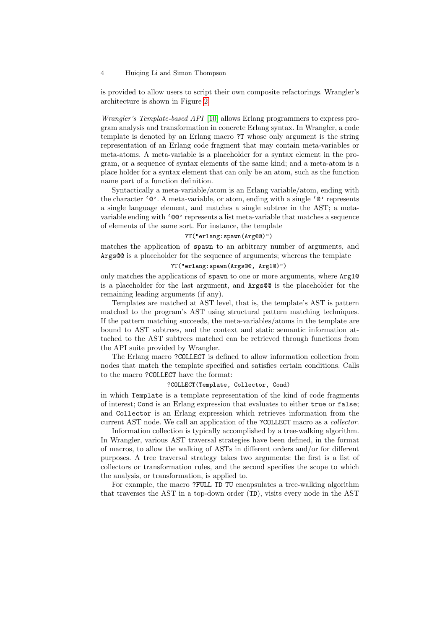#### 4 Huiqing Li and Simon Thompson

is provided to allow users to script their own composite refactorings. Wrangler's architecture is shown in Figure [2.](#page-2-2)

Wrangler's Template-based API [\[10\]](#page-14-10) allows Erlang programmers to express program analysis and transformation in concrete Erlang syntax. In Wrangler, a code template is denoted by an Erlang macro ?T whose only argument is the string representation of an Erlang code fragment that may contain meta-variables or meta-atoms. A meta-variable is a placeholder for a syntax element in the program, or a sequence of syntax elements of the same kind; and a meta-atom is a place holder for a syntax element that can only be an atom, such as the function name part of a function definition.

Syntactically a meta-variable/atom is an Erlang variable/atom, ending with the character '@'. A meta-variable, or atom, ending with a single '@' represents a single language element, and matches a single subtree in the AST; a metavariable ending with '@@' represents a list meta-variable that matches a sequence of elements of the same sort. For instance, the template

#### <span id="page-5-1"></span>?T("erlang:spawn(Arg@@)")

matches the application of spawn to an arbitrary number of arguments, and Args@@ is a placeholder for the sequence of arguments; whereas the template

#### ?T("erlang:spawn(Args@@, Arg1@)")

only matches the applications of spawn to one or more arguments, where Arg1@ is a placeholder for the last argument, and Args@@ is the placeholder for the remaining leading arguments (if any).

Templates are matched at AST level, that is, the template's AST is pattern matched to the program's AST using structural pattern matching techniques. If the pattern matching succeeds, the meta-variables/atoms in the template are bound to AST subtrees, and the context and static semantic information attached to the AST subtrees matched can be retrieved through functions from the API suite provided by Wrangler.

The Erlang macro ?COLLECT is defined to allow information collection from nodes that match the template specified and satisfies certain conditions. Calls to the macro ?COLLECT have the format:

#### ?COLLECT(Template, Collector, Cond)

in which Template is a template representation of the kind of code fragments of interest; Cond is an Erlang expression that evaluates to either true or false; and Collector is an Erlang expression which retrieves information from the current AST node. We call an application of the ?COLLECT macro as a collector.

<span id="page-5-0"></span>Information collection is typically accomplished by a tree-walking algorithm. In Wrangler, various AST traversal strategies have been defined, in the format of macros, to allow the walking of ASTs in different orders and/or for different purposes. A tree traversal strategy takes two arguments: the first is a list of collectors or transformation rules, and the second specifies the scope to which the analysis, or transformation, is applied to.

For example, the macro ?FULL\_TD\_TU encapsulates a tree-walking algorithm that traverses the AST in a top-down order (TD), visits every node in the AST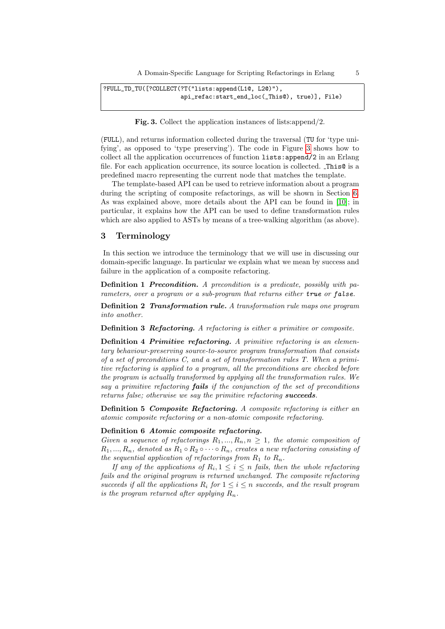?FULL\_TD\_TU([?COLLECT(?T("lists:append(L1@, L2@)"), api\_refac:start\_end\_loc(\_This@), true)], File)

Fig. 3. Collect the application instances of lists:append/2.

(FULL), and returns information collected during the traversal (TU for 'type unifying', as opposed to 'type preserving'). The code in Figure [3](#page-4-1) shows how to collect all the application occurrences of function lists:append/2 in an Erlang file. For each application occurrence, its source location is collected. This@ is a predefined macro representing the current node that matches the template.

The template-based API can be used to retrieve information about a program during the scripting of composite refactorings, as will be shown in Section [6.](#page-10-0) As was explained above, more details about the API can be found in [\[10\]](#page-14-10); in particular, it explains how the API can be used to define transformation rules which are also applied to ASTs by means of a tree-walking algorithm (as above).

#### 3 Terminology

In this section we introduce the terminology that we will use in discussing our domain-specific language. In particular we explain what we mean by success and failure in the application of a composite refactoring.

Definition 1 *Precondition.* A precondition is a predicate, possibly with parameters, over a program or a sub-program that returns either true or false.

Definition 2 Transformation rule. A transformation rule maps one program into another.

Definition 3 Refactoring. A refactoring is either a primitive or composite.

Definition 4 *Primitive refactoring. A primitive refactoring is an elemen*tary behaviour-preserving source-to-source program transformation that consists of a set of preconditions C, and a set of transformation rules T. When a primitive refactoring is applied to a program, all the preconditions are checked before the program is actually transformed by applying all the transformation rules. We say a primitive refactoring **fails** if the conjunction of the set of preconditions returns false; otherwise we say the primitive refactoring succeeds.

Definition 5 Composite Refactoring. A composite refactoring is either an atomic composite refactoring or a non-atomic composite refactoring.

#### Definition 6 Atomic composite refactoring.

Given a sequence of refactorings  $R_1, ..., R_n, n \geq 1$ , the atomic composition of  $R_1, ..., R_n$ , denoted as  $R_1 \circ R_2 \circ \cdots \circ R_n$ , creates a new refactoring consisting of the sequential application of refactorings from  $R_1$  to  $R_n$ .

If any of the applications of  $R_i, 1 \leq i \leq n$  fails, then the whole refactoring fails and the original program is returned unchanged. The composite refactoring succeeds if all the applications  $R_i$  for  $1 \leq i \leq n$  succeeds, and the result program is the program returned after applying  $R_n$ .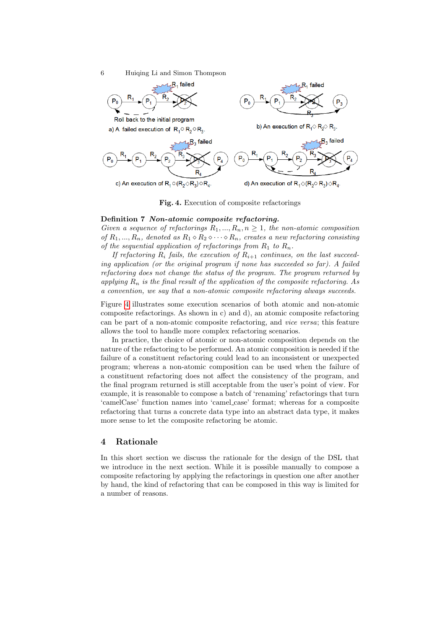

<span id="page-7-1"></span><span id="page-7-0"></span>

Fig. 4. Execution of composite refactorings

#### Definition 7 Non-atomic composite refactoring.

Given a sequence of refactorings  $R_1, ..., R_n, n \geq 1$ , the non-atomic composition of  $R_1, ..., R_n$ , denoted as  $R_1 \diamond R_2 \diamond \cdots \diamond R_n$ , creates a new refactoring consisting of the sequential application of refactorings from  $R_1$  to  $R_n.$ 

If refactoring  $R_i$  fails, the execution of  $R_{i+1}$  continues, on the last succeeding application (or the original program if none has succeeded so far). A failed refactoring does not change the status of the program. The program returned by applying  $R_n$  is the final result of the application of the composite refactoring. As a convention, we say that a non-atomic composite refactoring always succeeds.

Figure [4](#page-5-1) illustrates some execution scenarios of both atomic and non-atomic composite refactorings. As shown in c) and d), an atomic composite refactoring can be part of a non-atomic composite refactoring, and vice versa; this feature allows the tool to handle more complex refactoring scenarios.

In practice, the choice of atomic or non-atomic composition depends on the nature of the refactoring to be performed. An atomic composition is needed if the failure of a constituent refactoring could lead to an inconsistent or unexpected program; whereas a non-atomic composition can be used when the failure of a constituent refactoring does not affect the consistency of the program, and the final program returned is still acceptable from the user's point of view. For example, it is reasonable to compose a batch of 'renaming' refactorings that turn 'camelCase' function names into 'camel case' format; whereas for a composite refactoring that turns a concrete data type into an abstract data type, it makes more sense to let the composite refactoring be atomic.

#### 4 Rationale

In this short section we discuss the rationale for the design of the DSL that we introduce in the next section. While it is possible manually to compose a composite refactoring by applying the refactorings in question one after another by hand, the kind of refactoring that can be composed in this way is limited for a number of reasons.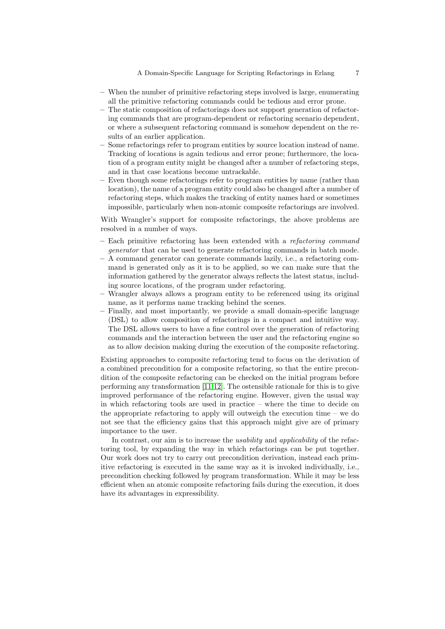A Domain-Specific Language for Scripting Refactorings in Erlang 7

- When the number of primitive refactoring steps involved is large, enumerating all the primitive refactoring commands could be tedious and error prone.
- The static composition of refactorings does not support generation of refactoring commands that are program-dependent or refactoring scenario dependent, or where a subsequent refactoring command is somehow dependent on the results of an earlier application.
- Some refactorings refer to program entities by source location instead of name. Tracking of locations is again tedious and error prone; furthermore, the location of a program entity might be changed after a number of refactoring steps, and in that case locations become untrackable.
- Even though some refactorings refer to program entities by name (rather than location), the name of a program entity could also be changed after a number of refactoring steps, which makes the tracking of entity names hard or sometimes impossible, particularly when non-atomic composite refactorings are involved.

With Wrangler's support for composite refactorings, the above problems are resolved in a number of ways.

- Each primitive refactoring has been extended with a refactoring command generator that can be used to generate refactoring commands in batch mode.
- A command generator can generate commands lazily, i.e., a refactoring command is generated only as it is to be applied, so we can make sure that the information gathered by the generator always reflects the latest status, including source locations, of the program under refactoring.
- <span id="page-8-0"></span>– Wrangler always allows a program entity to be referenced using its original name, as it performs name tracking behind the scenes.
- Finally, and most importantly, we provide a small domain-specific language (DSL) to allow composition of refactorings in a compact and intuitive way. The DSL allows users to have a fine control over the generation of refactoring commands and the interaction between the user and the refactoring engine so as to allow decision making during the execution of the composite refactoring.

Existing approaches to composite refactoring tend to focus on the derivation of a combined precondition for a composite refactoring, so that the entire precondition of the composite refactoring can be checked on the initial program before performing any transformation [\[11,](#page-14-11)[12\]](#page-14-12). The ostensible rationale for this is to give improved performance of the refactoring engine. However, given the usual way in which refactoring tools are used in practice – where the time to decide on the appropriate refactoring to apply will outweigh the execution time – we do not see that the efficiency gains that this approach might give are of primary importance to the user.

In contrast, our aim is to increase the *usability* and *applicability* of the refactoring tool, by expanding the way in which refactorings can be put together. Our work does not try to carry out precondition derivation, instead each primitive refactoring is executed in the same way as it is invoked individually, i.e., precondition checking followed by program transformation. While it may be less efficient when an atomic composite refactoring fails during the execution, it does have its advantages in expressibility.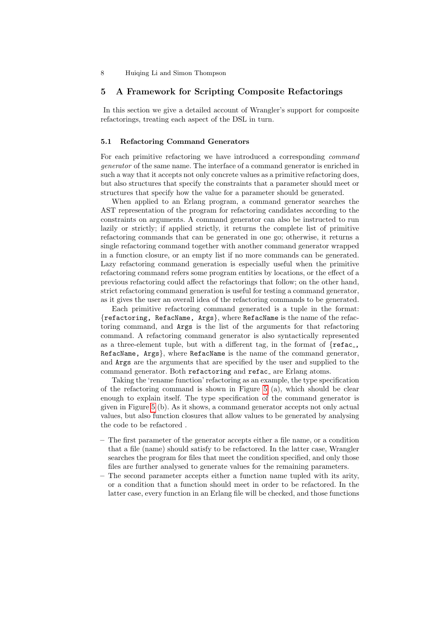#### 5 A Framework for Scripting Composite Refactorings

In this section we give a detailed account of Wrangler's support for composite refactorings, treating each aspect of the DSL in turn.

#### 5.1 Refactoring Command Generators

For each primitive refactoring we have introduced a corresponding command generator of the same name. The interface of a command generator is enriched in such a way that it accepts not only concrete values as a primitive refactoring does, but also structures that specify the constraints that a parameter should meet or structures that specify how the value for a parameter should be generated.

<span id="page-9-0"></span>When applied to an Erlang program, a command generator searches the AST representation of the program for refactoring candidates according to the constraints on arguments. A command generator can also be instructed to run lazily or strictly; if applied strictly, it returns the complete list of primitive refactoring commands that can be generated in one go; otherwise, it returns a single refactoring command together with another command generator wrapped in a function closure, or an empty list if no more commands can be generated. Lazy refactoring command generation is especially useful when the primitive refactoring command refers some program entities by locations, or the effect of a previous refactoring could affect the refactorings that follow; on the other hand, strict refactoring command generation is useful for testing a command generator, as it gives the user an overall idea of the refactoring commands to be generated.

Each primitive refactoring command generated is a tuple in the format: { $refactoring, RefacName, Args$ }, where RefacName is the name of the refactoring command, and Args is the list of the arguments for that refactoring command. A refactoring command generator is also syntactically represented as a three-element tuple, but with a different tag, in the format of {refac\_, RefacName, Args}, where RefacName is the name of the command generator, and Args are the arguments that are specified by the user and supplied to the command generator. Both refactoring and refac<sub>-are Erlang atoms.</sub>

Taking the 'rename function' refactoring as an example, the type specification of the refactoring command is shown in Figure [5](#page-8-0) (a), which should be clear enough to explain itself. The type specification of the command generator is given in Figure [5](#page-8-0) (b). As it shows, a command generator accepts not only actual values, but also function closures that allow values to be generated by analysing the code to be refactored .

- The first parameter of the generator accepts either a file name, or a condition that a file (name) should satisfy to be refactored. In the latter case, Wrangler searches the program for files that meet the condition specified, and only those files are further analysed to generate values for the remaining parameters.
- The second parameter accepts either a function name tupled with its arity, or a condition that a function should meet in order to be refactored. In the latter case, every function in an Erlang file will be checked, and those functions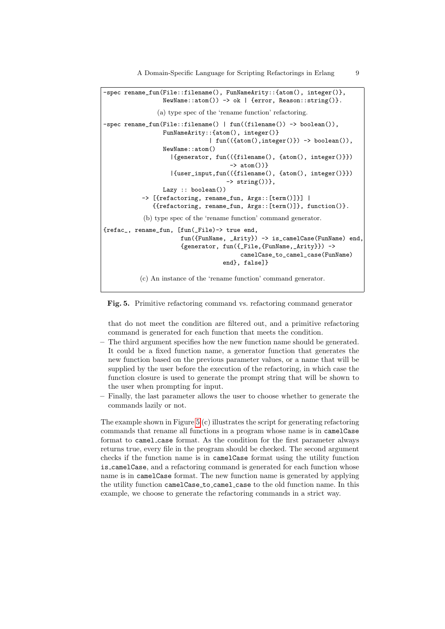A Domain-Specific Language for Scripting Refactorings in Erlang 9

```
-spec rename_fun(File::filename(), FunNameArity::{atom(), integer()},
                  NewName::atom() -> ok | {error, Reason::string()}.
                (a) type spec of the 'rename function' refactoring.
-spec rename_fun(File::filename() | fun((filename()) -> boolean()),
                 FunNameArity::{atom(), integer()}
                               | fun(({atom(),integer()}) -> boolean()),
                 NewName::atom()
                    |{generator, fun(({filename(), {atom(), integer()}})
                                      \rightarrow atom())}
                    |{user_input,fun(({filename(), {atom(), integer()}})
                                     \rightarrow string())},
                 Lazy :: boolean())
           -> [{refactoring, rename_fun, Args::[term()]}] |
              {{refactoring, rename_fun, Args::[term()]}, function()}.
           (b) type spec of the 'rename function' command generator.
{refac_, rename_fun, [fun(_File)-> true end,
                       fun({FunName, _Arity}) -> is_camelCase(FunName) end,
                       {generator, fun({_File,{FunName,_Arity}}) ->
                                         camelCase_to_camel_case(FunName)
                                    end}, false]}
          (c) An instance of the 'rename function' command generator.
```
<span id="page-10-0"></span>

that do not meet the condition are filtered out, and a primitive refactoring command is generated for each function that meets the condition.

- The third argument specifies how the new function name should be generated. It could be a fixed function name, a generator function that generates the new function based on the previous parameter values, or a name that will be supplied by the user before the execution of the refactoring, in which case the function closure is used to generate the prompt string that will be shown to the user when prompting for input.
- Finally, the last parameter allows the user to choose whether to generate the commands lazily or not.

The example shown in Figure [5](#page-8-0) (c) illustrates the script for generating refactoring commands that rename all functions in a program whose name is in camelCase format to camel case format. As the condition for the first parameter always returns true, every file in the program should be checked. The second argument checks if the function name is in camelCase format using the utility function is camelCase, and a refactoring command is generated for each function whose name is in camelCase format. The new function name is generated by applying the utility function camelCase to camel case to the old function name. In this example, we choose to generate the refactoring commands in a strict way.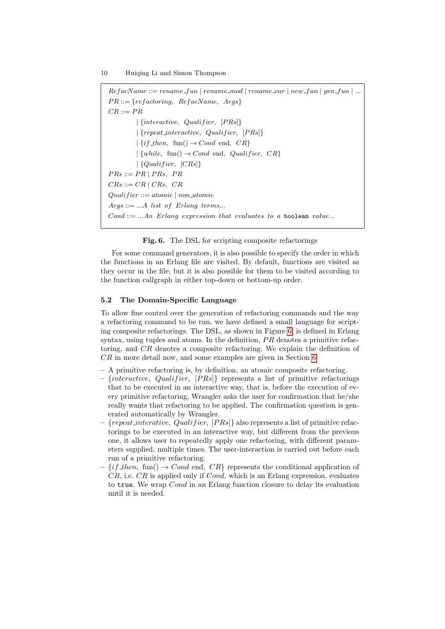$RefacName ::= rename\_fun \mid rename\_mod \mid rename\_var \mid new\_fun \mid gen\_fun \mid ...$  $PR ::= \{refactoring, RefacName, Args\}$  $CR ::= PR$  $\{\text{interactive}, \text{ Qualifier}, \text{ } [PRs]\}$  $\{f$ repeat\_interactive, Qualifier,  $[PRs]$  $| \{if\_then, \, \, \text{fun}() \rightarrow Cond \, \, \text{end}, \, \, CR \}$  $\{while, \text{ fun}() \rightarrow Cond \text{ end}, \text{ Qualifier}, \text{ CR}\}$  $\{$ Qualifier,  $[CRs]$  $PRs ::= PR | PRs, PR$  $CRs ::= CR \, | \, CRs, \, CR$  $Qualifier ::= atomic \mid non\_atomic$  $Args ::= ... A list of Erlang terms...$  $Cond ::= ... An Erlang expression that evaluates to a boolean value...$ 

#### Fig. 6. The DSL for scripting composite refactorings

For some command generators, it is also possible to specify the order in which the functions in an Erlang file are visited. By default, functions are visited as they occur in the file, but it is also possible for them to be visited according to the function callgraph in either top-down or bottom-up order.

#### 5.2 The Domain-Specific Language

<span id="page-11-0"></span>To allow fine control over the generation of refactoring commands and the way a refactoring command to be run, we have defined a small language for scripting composite refactorings. The DSL, as shown in Figure [6,](#page-9-0) is defined in Erlang syntax, using tuples and atoms. In the definition,  $PR$  denotes a primitive refactoring, and CR denotes a composite refactoring. We explain the definition of CR in more detail now, and some examples are given in Section [6.](#page-10-0)

- A primitive refactoring is, by definition, an atomic composite refactoring.
- $-$  {*interactive, Qualifier, [PRs]*} represents a list of primitive refactorings that to be executed in an interactive way, that is, before the execution of every primitive refactoring, Wrangler asks the user for confirmation that he/she really wants that refactoring to be applied. The confirmation question is generated automatically by Wrangler.
- $-$  {repeat\_interative, Qualifier,  $[PRs]$ } also represents a list of primitive refactorings to be executed in an interactive way, but different from the previous one, it allows user to repeatedly apply one refactoring, with different parameters supplied, multiple times. The user-interaction is carried out before each run of a primitive refactoring.
- $\{if\_then, \text{ fun}() \rightarrow Cond \text{ end}, \text{ CR}\}\$  represents the conditional application of  $CR$ , i.e.  $CR$  is applied only if  $Cond$ , which is an Erlang expression, evaluates to true. We wrap Cond in an Erlang function closure to delay its evaluation until it is needed.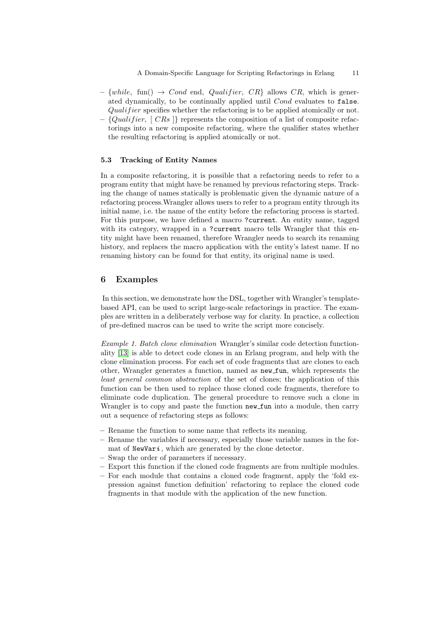- $-$  {while, fun()  $\rightarrow$  Cond end, Qualifier, CR} allows CR, which is generated dynamically, to be continually applied until Cond evaluates to false. Qualifier specifies whether the refactoring is to be applied atomically or not.
- $\{Qualifier, [CRs] \}$  represents the composition of a list of composite refactorings into a new composite refactoring, where the qualifier states whether the resulting refactoring is applied atomically or not.

#### <span id="page-12-1"></span>5.3 Tracking of Entity Names

In a composite refactoring, it is possible that a refactoring needs to refer to a program entity that might have be renamed by previous refactoring steps. Tracking the change of names statically is problematic given the dynamic nature of a refactoring process.Wrangler allows users to refer to a program entity through its initial name, i.e. the name of the entity before the refactoring process is started. For this purpose, we have defined a macro ?current. An entity name, tagged with its category, wrapped in a ?current macro tells Wrangler that this entity might have been renamed, therefore Wrangler needs to search its renaming history, and replaces the macro application with the entity's latest name. If no renaming history can be found for that entity, its original name is used.

#### 6 Examples

In this section, we demonstrate how the DSL, together with Wrangler's templatebased API, can be used to script large-scale refactorings in practice. The examples are written in a deliberately verbose way for clarity. In practice, a collection of pre-defined macros can be used to write the script more concisely.

Example 1. Batch clone elimination Wrangler's similar code detection functionality [\[13\]](#page-14-13) is able to detect code clones in an Erlang program, and help with the clone elimination process. For each set of code fragments that are clones to each other, Wrangler generates a function, named as new fun, which represents the least general common abstraction of the set of clones; the application of this function can be then used to replace those cloned code fragments, therefore to eliminate code duplication. The general procedure to remove such a clone in Wrangler is to copy and paste the function new fun into a module, then carry out a sequence of refactoring steps as follows:

- <span id="page-12-0"></span>– Rename the function to some name that reflects its meaning.
- Rename the variables if necessary, especially those variable names in the format of  $\texttt{NewVar} \textbf{\textit{i}}$ , which are generated by the clone detector.
- Swap the order of parameters if necessary.
- Export this function if the cloned code fragments are from multiple modules.
- For each module that contains a cloned code fragment, apply the 'fold expression against function definition' refactoring to replace the cloned code fragments in that module with the application of the new function.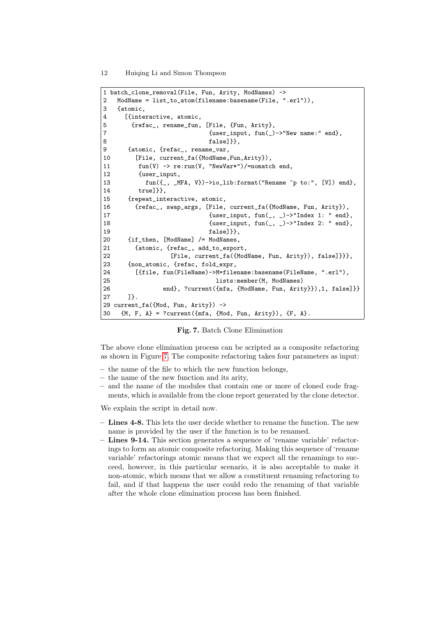```
1 batch_clone_removal(File, Fun, Arity, ModNames) ->
2 ModName = list_to_atom(filename:basename(File, ".erl")),
3 {atomic,
4 [{interactive, atomic,
5 {refac_, rename_fun, [File, {Fun, Arity},
7 {user_input, fun(_)->"New name:" end},
8 falsel}},
9 {atomic, {refac_, rename_var,
10 [File, current_fa({ModName,Fun,Arity}),
11 fun(V) -> re:run(V, "NewVar*")/=nomatch end,
12 {user_input,
13 fun({_, _MFA, V})->io_lib:format("Rename ~p to:", [V]) end},
14 true]}},
15 {repeat_interactive, atomic,
16 {refac_, swap_args, [File, current_fa({ModName, Fun, Arity}),
17 {user_input, fun(_, _)->"Index 1: " end},
18 {user\_input, fun(_, _{\_}, \_}) \rightarrow "Index 2: " end},19 false]}},
20 {if_then, [ModName] /= ModNames,
21 {atomic, {refac_, add_to_export,
22 [File, current_fa({ModName, Fun, Arity}), false]}}},
23 {non_atomic, {refac, fold_expr,
24 [{file, fun(FileName)->M=filename:basename(FileName, ".erl"),
25 lists:member(M, ModNames)
26 end}, ?current({mfa, {ModName, Fun, Arity}}),1, false]}}
27 ]}.
29 current_fa({Mod, Fun, Arity}) ->
30 {M, F, A} = ?current({mfa, {Mod, Fun, Arity}), {F, A}.
```
Fig. 7. Batch Clone Elimination

<span id="page-13-0"></span>The above clone elimination process can be scripted as a composite refactoring as shown in Figure [7.](#page-11-0) The composite refactoring takes four parameters as input:

- the name of the file to which the new function belongs,
- the name of the new function and its arity,
- and the name of the modules that contain one or more of cloned code fragments, which is available from the clone report generated by the clone detector.

We explain the script in detail now.

- Lines 4-8. This lets the user decide whether to rename the function. The new name is provided by the user if the function is to be renamed.
- Lines 9-14. This section generates a sequence of 'rename variable' refactorings to form an atomic composite refactoring. Making this sequence of 'rename variable' refactorings atomic means that we expect all the renamings to succeed, however, in this particular scenario, it is also acceptable to make it non-atomic, which means that we allow a constituent renaming refactoring to fail, and if that happens the user could redo the renaming of that variable after the whole clone elimination process has been finished.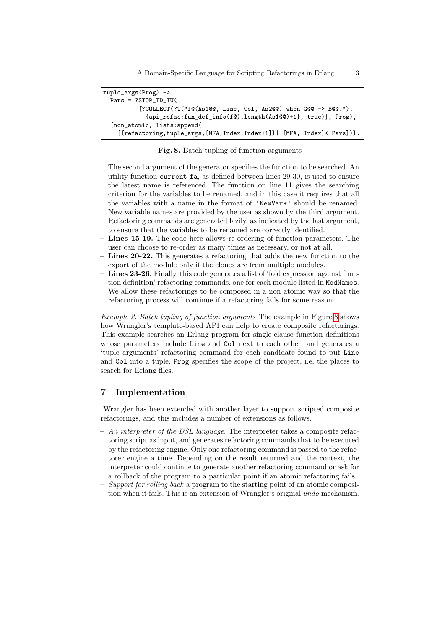A Domain-Specific Language for Scripting Refactorings in Erlang 13

```
tuple_args(Prog) ->
 Pars = ?STOP_TD_TU(
          [?COLLECT(?T("f@(As1@@, Line, Col, As2@@) when G@@ -> B@@."),
            {api_refac:fun_def_info(f@),length(As1@@)+1}, true)], Prog),
 {non_atomic, lists:append(
    [{refactoring,tuple_args,[MFA,Index,Index+1]}||{MFA, Index}<-Pars])}.
```
Fig. 8. Batch tupling of function arguments

The second argument of the generator specifies the function to be searched. An utility function current fa, as defined between lines 29-30, is used to ensure the latest name is referenced. The function on line 11 gives the searching criterion for the variables to be renamed, and in this case it requires that all the variables with a name in the format of 'NewVar\*' should be renamed. New variable names are provided by the user as shown by the third argument. Refactoring commands are generated lazily, as indicated by the last argument, to ensure that the variables to be renamed are correctly identified.

- Lines 15-19. The code here allows re-ordering of function parameters. The user can choose to re-order as many times as necessary, or not at all.
- <span id="page-14-0"></span>– Lines 20-22. This generates a refactoring that adds the new function to the export of the module only if the clones are from multiple modules.
- <span id="page-14-1"></span>– Lines 23-26. Finally, this code generates a list of 'fold expression against function definition' refactoring commands, one for each module listed in ModNames. We allow these refactorings to be composed in a non atomic way so that the refactoring process will continue if a refactoring fails for some reason.

<span id="page-14-6"></span><span id="page-14-5"></span><span id="page-14-4"></span><span id="page-14-3"></span><span id="page-14-2"></span>Example 2. Batch tupling of function arguments The example in Figure [8](#page-12-1) shows how Wrangler's template-based API can help to create composite refactorings. This example searches an Erlang program for single-clause function definitions whose parameters include Line and Col next to each other, and generates a 'tuple arguments' refactoring command for each candidate found to put Line and Col into a tuple. Prog specifies the scope of the project, i.e, the places to search for Erlang files.

#### <span id="page-14-10"></span><span id="page-14-8"></span><span id="page-14-7"></span>7 Implementation

<span id="page-14-11"></span>Wrangler has been extended with another layer to support scripted composite refactorings, and this includes a number of extensions as follows.

- <span id="page-14-13"></span><span id="page-14-12"></span> $- An$  interpreter of the DSL language. The interpreter takes a composite refactoring script as input, and generates refactoring commands that to be executed by the refactoring engine. Only one refactoring command is passed to the refactorer engine a time. Depending on the result returned and the context, the interpreter could continue to generate another refactoring command or ask for a rollback of the program to a particular point if an atomic refactoring fails.
- <span id="page-14-15"></span><span id="page-14-14"></span>– Support for rolling back a program to the starting point of an atomic composition when it fails. This is an extension of Wrangler's original undo mechanism.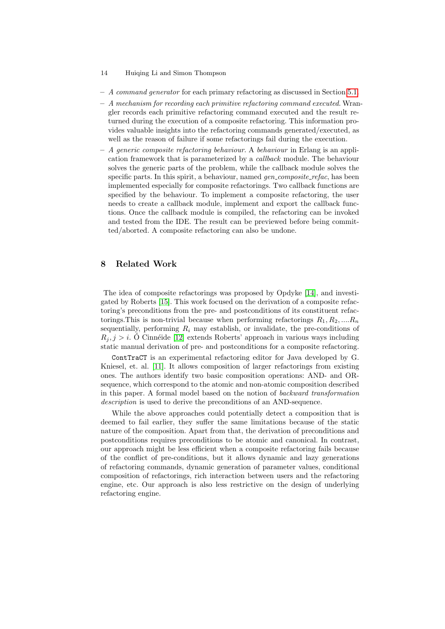#### 14 Huiqing Li and Simon Thompson

- $-$  A command generator for each primary refactoring as discussed in Section [5.1.](#page-7-1)
- A mechanism for recording each primitive refactoring command executed. Wrangler records each primitive refactoring command executed and the result returned during the execution of a composite refactoring. This information provides valuable insights into the refactoring commands generated/executed, as well as the reason of failure if some refactorings fail during the execution.
- $A$  generic composite refactoring behaviour. A behaviour in Erlang is an application framework that is parameterized by a callback module. The behaviour solves the generic parts of the problem, while the callback module solves the specific parts. In this spirit, a behaviour, named *gen\_composite\_refac*, has been implemented especially for composite refactorings. Two callback functions are specified by the behaviour. To implement a composite refactoring, the user needs to create a callback module, implement and export the callback functions. Once the callback module is compiled, the refactoring can be invoked and tested from the IDE. The result can be previewed before being committed/aborted. A composite refactoring can also be undone.

#### 8 Related Work

The idea of composite refactorings was proposed by Opdyke [\[14\]](#page-14-14), and investigated by Roberts [\[15\]](#page-14-15). This work focused on the derivation of a composite refactoring's preconditions from the pre- and postconditions of its constituent refactorings. This is non-trivial because when performing refactorings  $R_1, R_2, \ldots, R_n$ sequentially, performing  $R_i$  may establish, or invalidate, the pre-conditions of  $R_i, j > i$ . Ó Cinnéide [\[12\]](#page-14-12) extends Roberts' approach in various ways including static manual derivation of pre- and postconditions for a composite refactoring.

ContTraCT is an experimental refactoring editor for Java developed by G. Kniesel, et. al. [\[11\]](#page-14-11). It allows composition of larger refactorings from existing ones. The authors identify two basic composition operations: AND- and ORsequence, which correspond to the atomic and non-atomic composition described in this paper. A formal model based on the notion of backward transformation description is used to derive the preconditions of an AND-sequence.

While the above approaches could potentially detect a composition that is deemed to fail earlier, they suffer the same limitations because of the static nature of the composition. Apart from that, the derivation of preconditions and postconditions requires preconditions to be atomic and canonical. In contrast, our approach might be less efficient when a composite refactoring fails because of the conflict of pre-conditions, but it allows dynamic and lazy generations of refactoring commands, dynamic generation of parameter values, conditional composition of refactorings, rich interaction between users and the refactoring engine, etc. Our approach is also less restrictive on the design of underlying refactoring engine.